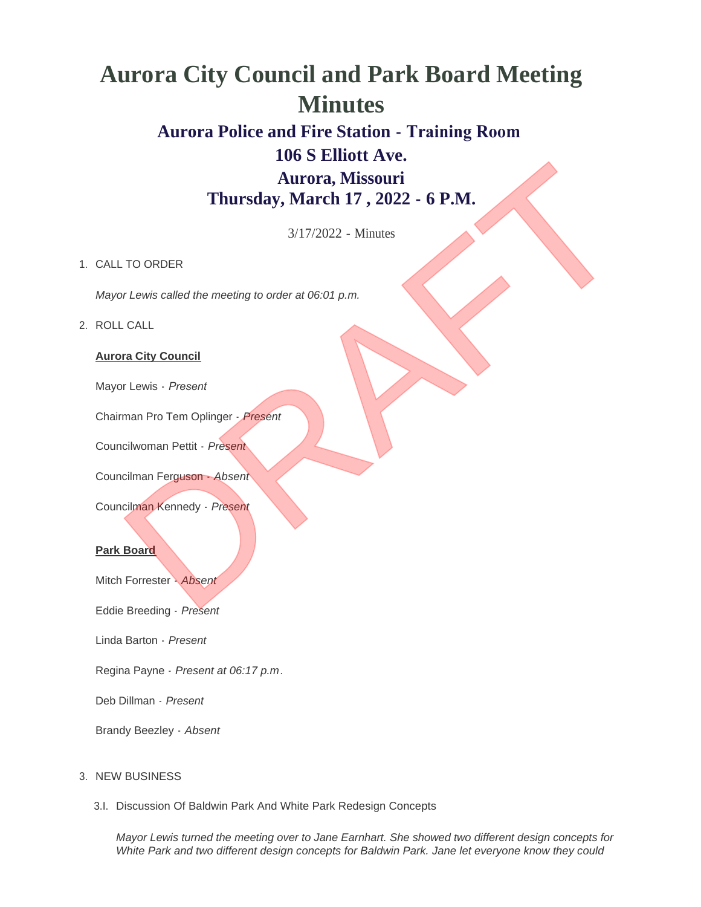# **Aurora City Council and Park Board Meeting Minutes**

# **Aurora Police and Fire Station - Training Room 106 S Elliott Ave. Aurora, Missouri** Nursday, March 17, 2022 - 6 P.M.<br>Thursday, March 17, 2022 - 6 P.M.<br>3/17/2022 - Minutes<br>TO ORDER<br>Thursday (March 17, 2022 - 6 P.M.<br>2. CALL<br>Chives called the meeting to order at 06:01 p.m.<br>CALL<br>The Term of Tem Oplinger. Pres

**Thursday, March 17 , 2022 - 6 P.M.**

3/17/2022 - Minutes

## 1. CALL TO ORDER

*Mayor Lewis called the meeting to order at 06:01 p.m.*

### ROLL CALL 2.

### **Aurora City Council**

Mayor Lewis - *Present* 

Chairman Pro Tem Oplinger - *Present*

Councilwoman Pettit - *Present*

Councilman Ferguson - *Absent*

Councilman Kennedy - *Present*

### **Park Board**

Mitch Forrester - *Absent*

Eddie Breeding - *Present*

Linda Barton - *Present*

Regina Payne - *Present at 06:17 p.m*.

Deb Dillman - *Present*

Brandy Beezley - *Absent*

### 3. NEW BUSINESS

3.I. Discussion Of Baldwin Park And White Park Redesign Concepts

*Mayor Lewis turned the meeting over to Jane Earnhart. She showed two different design concepts for White Park and two different design concepts for Baldwin Park. Jane let everyone know they could*